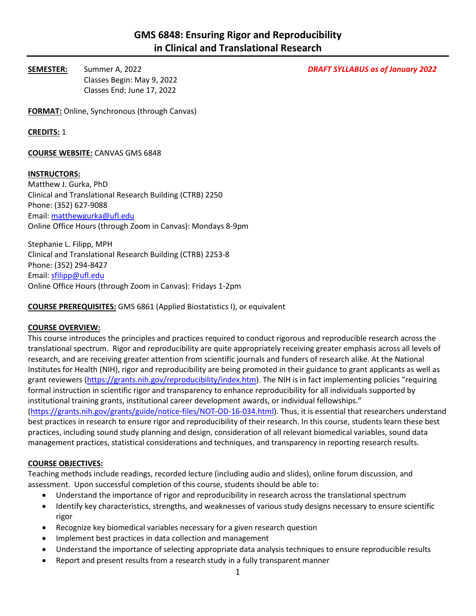**SEMESTER:** Summer A, 2022 *DRAFT SYLLABUS as of January 2022* Classes Begin: May 9, 2022 Classes End: June 17, 2022

**FORMAT:** Online, Synchronous (through Canvas)

**CREDITS:** 1

**COURSE WEBSITE:** CANVAS GMS 6848

#### **INSTRUCTORS:**

Matthew J. Gurka, PhD Clinical and Translational Research Building (CTRB) 2250 Phone: (352) 627-9088 Email: [matthewgurka@ufl.edu](mailto:matthewgurka@ufl.edu) Online Office Hours (through Zoom in Canvas): Mondays 8-9pm

Stephanie L. Filipp, MPH Clinical and Translational Research Building (CTRB) 2253-8 Phone: (352) 294-8427 Email: [sfilipp@ufl.edu](mailto:sfilipp@ufl.edu) Online Office Hours (through Zoom in Canvas): Fridays 1-2pm

**COURSE PREREQUISITES:** GMS 6861 (Applied Biostatistics I), or equivalent

#### **COURSE OVERVIEW:**

This course introduces the principles and practices required to conduct rigorous and reproducible research across the translational spectrum. Rigor and reproducibility are quite appropriately receiving greater emphasis across all levels of research, and are receiving greater attention from scientific journals and funders of research alike. At the National Institutes for Health (NIH), rigor and reproducibility are being promoted in their guidance to grant applicants as well as grant reviewers [\(https://grants.nih.gov/reproducibility/index.htm\)](https://grants.nih.gov/reproducibility/index.htm). The NIH is in fact implementing policies "requiring formal instruction in scientific rigor and transparency to enhance reproducibility for all individuals supported by institutional training grants, institutional career development awards, or individual fellowships." [\(https://grants.nih.gov/grants/guide/notice-files/NOT-OD-16-034.html\)](https://grants.nih.gov/grants/guide/notice-files/NOT-OD-16-034.html). Thus, it is essential that researchers understand best practices in research to ensure rigor and reproducibility of their research. In this course, students learn these best practices, including sound study planning and design, consideration of all relevant biomedical variables, sound data management practices, statistical considerations and techniques, and transparency in reporting research results.

# **COURSE OBJECTIVES:**

Teaching methods include readings, recorded lecture (including audio and slides), online forum discussion, and assessment. Upon successful completion of this course, students should be able to:

- Understand the importance of rigor and reproducibility in research across the translational spectrum
- Identify key characteristics, strengths, and weaknesses of various study designs necessary to ensure scientific rigor
- Recognize key biomedical variables necessary for a given research question
- Implement best practices in data collection and management
- Understand the importance of selecting appropriate data analysis techniques to ensure reproducible results
- Report and present results from a research study in a fully transparent manner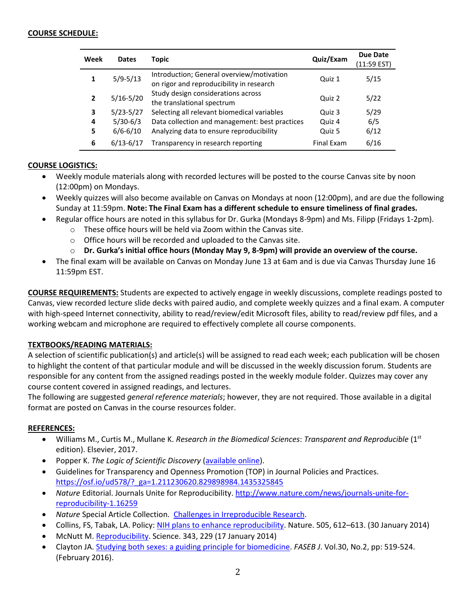| Week           | <b>Dates</b>  | Topic                                                                                 | Quiz/Exam  | <b>Due Date</b><br>(11:59 EST) |
|----------------|---------------|---------------------------------------------------------------------------------------|------------|--------------------------------|
| 1              | $5/9 - 5/13$  | Introduction; General overview/motivation<br>on rigor and reproducibility in research | Quiz 1     | 5/15                           |
| $\overline{2}$ | $5/16 - 5/20$ | Study design considerations across<br>the translational spectrum                      | Quiz 2     | 5/22                           |
| 3              | $5/23-5/27$   | Selecting all relevant biomedical variables                                           | Quiz 3     | 5/29                           |
| 4              | $5/30-6/3$    | Data collection and management: best practices                                        | Quiz 4     | 6/5                            |
| 5              | $6/6 - 6/10$  | Analyzing data to ensure reproducibility                                              | Quiz 5     | 6/12                           |
| 6              | $6/13 - 6/17$ | Transparency in research reporting                                                    | Final Exam | 6/16                           |

#### **COURSE LOGISTICS:**

- Weekly module materials along with recorded lectures will be posted to the course Canvas site by noon (12:00pm) on Mondays.
- Weekly quizzes will also become available on Canvas on Mondays at noon (12:00pm), and are due the following Sunday at 11:59pm. **Note: The Final Exam has a different schedule to ensure timeliness of final grades.**
- Regular office hours are noted in this syllabus for Dr. Gurka (Mondays 8-9pm) and Ms. Filipp (Fridays 1-2pm).
	- $\circ$  These office hours will be held via Zoom within the Canvas site.
	- o Office hours will be recorded and uploaded to the Canvas site.
	- o **Dr. Gurka's initial office hours (Monday May 9, 8-9pm) will provide an overview of the course.**
- The final exam will be available on Canvas on Monday June 13 at 6am and is due via Canvas Thursday June 16 11:59pm EST.

**COURSE REQUIREMENTS:** Students are expected to actively engage in weekly discussions, complete readings posted to Canvas, view recorded lecture slide decks with paired audio, and complete weekly quizzes and a final exam. A computer with high-speed Internet connectivity, ability to read/review/edit Microsoft files, ability to read/review pdf files, and a working webcam and microphone are required to effectively complete all course components.

#### **TEXTBOOKS/READING MATERIALS:**

A selection of scientific publication(s) and article(s) will be assigned to read each week; each publication will be chosen to highlight the content of that particular module and will be discussed in the weekly discussion forum. Students are responsible for any content from the assigned readings posted in the weekly module folder. Quizzes may cover any course content covered in assigned readings, and lectures.

The following are suggested *general reference materials*; however, they are not required. Those available in a digital format are posted on Canvas in the course resources folder.

#### **REFERENCES:**

- Williams M., Curtis M., Mullane K. *Research in the Biomedical Sciences*: *Transparent and Reproducible* (1st edition). Elsevier, 2017.
- Popper K. *The Logic of Scientific Discovery* [\(available online\)](http://strangebeautiful.com/other-texts/popper-logic-scientific-discovery.pdf).
- Guidelines for Transparency and Openness Promotion (TOP) in Journal Policies and Practices. [https://osf.io/ud578/?\\_ga=1.211230620.829898984.1435325845](https://osf.io/ud578/?_ga=1.211230620.829898984.1435325845)
- *Nature* Editorial. Journals Unite for Reproducibility. [http://www.nature.com/news/journals-unite-for](http://www.nature.com/news/journals-unite-for-reproducibility-1.16259)[reproducibility-1.16259](http://www.nature.com/news/journals-unite-for-reproducibility-1.16259)
- *Nature* Special Article Collection. [Challenges in Irreproducible Research.](https://www.nature.com/news/reproducibility-1.17552)
- Collins, FS, Tabak, LA. Policy[: NIH plans to enhance reproducibility.](http://www.nature.com/news/policy-nih-plans-to-enhance-reproducibility-1.14586) Nature. 505, 612–613. (30 January 2014)
- McNutt M[. Reproducibility.](http://science.sciencemag.org/content/343/6168/229.full) Science. 343, 229 (17 January 2014)
- Clayton JA[. Studying both sexes: a guiding principle for biomedicine.](http://www.fasebj.org/content/30/2/519.full.pdf+html) *FASEB J*. Vol.30, No.2, pp: 519-524. (February 2016).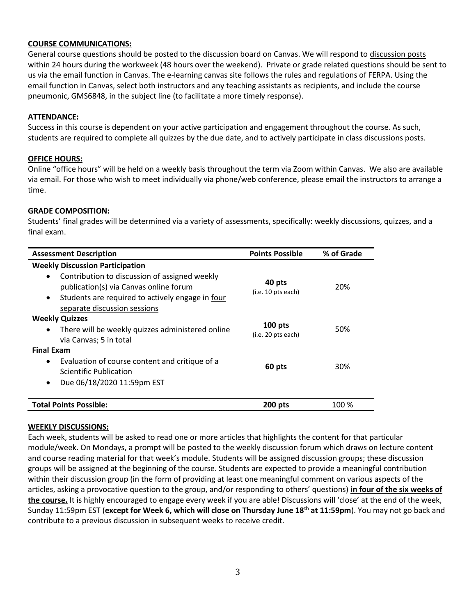#### **COURSE COMMUNICATIONS:**

General course questions should be posted to the discussion board on Canvas. We will respond to discussion posts within 24 hours during the workweek (48 hours over the weekend). Private or grade related questions should be sent to us via the email function in Canvas. The e-learning canvas site follows the rules and regulations of FERPA. Using the email function in Canvas, select both instructors and any teaching assistants as recipients, and include the course pneumonic, GMS6848, in the subject line (to facilitate a more timely response).

#### **ATTENDANCE:**

Success in this course is dependent on your active participation and engagement throughout the course. As such, students are required to complete all quizzes by the due date, and to actively participate in class discussions posts.

## **OFFICE HOURS:**

Online "office hours" will be held on a weekly basis throughout the term via Zoom within Canvas. We also are available via email. For those who wish to meet individually via phone/web conference, please email the instructors to arrange a time.

#### **GRADE COMPOSITION:**

Students' final grades will be determined via a variety of assessments, specifically: weekly discussions, quizzes, and a final exam.

| <b>Assessment Description</b>                                                                                                                                                                         | <b>Points Possible</b>          | % of Grade |
|-------------------------------------------------------------------------------------------------------------------------------------------------------------------------------------------------------|---------------------------------|------------|
| <b>Weekly Discussion Participation</b>                                                                                                                                                                |                                 |            |
| Contribution to discussion of assigned weekly<br>$\bullet$<br>publication(s) via Canvas online forum<br>Students are required to actively engage in four<br>$\bullet$<br>separate discussion sessions | 40 pts<br>(i.e. 10 pts each)    | 20%        |
| <b>Weekly Quizzes</b><br>There will be weekly quizzes administered online<br>$\bullet$<br>via Canvas; 5 in total                                                                                      | $100$ pts<br>(i.e. 20 pts each) | 50%        |
| <b>Final Exam</b>                                                                                                                                                                                     |                                 |            |
| Evaluation of course content and critique of a<br>$\bullet$<br>Scientific Publication<br>Due 06/18/2020 11:59pm EST<br>$\bullet$                                                                      | 60 pts                          | 30%        |
|                                                                                                                                                                                                       |                                 |            |
| <b>Total Points Possible:</b>                                                                                                                                                                         | <b>200 pts</b>                  | 100 %      |

#### **WEEKLY DISCUSSIONS:**

Each week, students will be asked to read one or more articles that highlights the content for that particular module/week. On Mondays, a prompt will be posted to the weekly discussion forum which draws on lecture content and course reading material for that week's module. Students will be assigned discussion groups; these discussion groups will be assigned at the beginning of the course. Students are expected to provide a meaningful contribution within their discussion group (in the form of providing at least one meaningful comment on various aspects of the articles, asking a provocative question to the group, and/or responding to others' questions) **in four of the six weeks of the course.** It is highly encouraged to engage every week if you are able! Discussions will 'close' at the end of the week, Sunday 11:59pm EST (**except for Week 6, which will close on Thursday June 18th at 11:59pm**). You may not go back and contribute to a previous discussion in subsequent weeks to receive credit.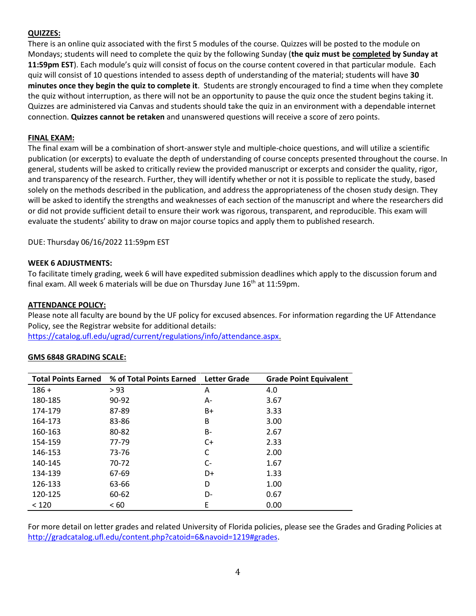## **QUIZZES:**

There is an online quiz associated with the first 5 modules of the course. Quizzes will be posted to the module on Mondays; students will need to complete the quiz by the following Sunday (**the quiz must be completed by Sunday at 11:59pm EST**). Each module's quiz will consist of focus on the course content covered in that particular module. Each quiz will consist of 10 questions intended to assess depth of understanding of the material; students will have **30 minutes once they begin the quiz to complete it**. Students are strongly encouraged to find a time when they complete the quiz without interruption, as there will not be an opportunity to pause the quiz once the student begins taking it. Quizzes are administered via Canvas and students should take the quiz in an environment with a dependable internet connection. **Quizzes cannot be retaken** and unanswered questions will receive a score of zero points.

#### **FINAL EXAM:**

The final exam will be a combination of short-answer style and multiple-choice questions, and will utilize a scientific publication (or excerpts) to evaluate the depth of understanding of course concepts presented throughout the course. In general, students will be asked to critically review the provided manuscript or excerpts and consider the quality, rigor, and transparency of the research. Further, they will identify whether or not it is possible to replicate the study, based solely on the methods described in the publication, and address the appropriateness of the chosen study design. They will be asked to identify the strengths and weaknesses of each section of the manuscript and where the researchers did or did not provide sufficient detail to ensure their work was rigorous, transparent, and reproducible. This exam will evaluate the students' ability to draw on major course topics and apply them to published research.

DUE: Thursday 06/16/2022 11:59pm EST

## **WEEK 6 ADJUSTMENTS:**

To facilitate timely grading, week 6 will have expedited submission deadlines which apply to the discussion forum and final exam. All week 6 materials will be due on Thursday June 16<sup>th</sup> at 11:59pm.

#### **ATTENDANCE POLICY:**

Please note all faculty are bound by the UF policy for excused absences. For information regarding the UF Attendance Policy, see the Registrar website for additional details:

[https://catalog.ufl.edu/ugrad/current/regulations/info/attendance.aspx.](https://catalog.ufl.edu/ugrad/current/regulations/info/attendance.aspx)

#### **GMS 6848 GRADING SCALE:**

| <b>Total Points Earned</b> | % of Total Points Earned | <b>Letter Grade</b> | <b>Grade Point Equivalent</b> |
|----------------------------|--------------------------|---------------------|-------------------------------|
| $186 +$                    | > 93                     | A                   | 4.0                           |
| 180-185                    | 90-92                    | А-                  | 3.67                          |
| 174-179                    | 87-89                    | B+                  | 3.33                          |
| 164-173                    | 83-86                    | B                   | 3.00                          |
| 160-163                    | 80-82                    | <b>B-</b>           | 2.67                          |
| 154-159                    | 77-79                    | C+                  | 2.33                          |
| 146-153                    | 73-76                    | C                   | 2.00                          |
| 140-145                    | 70-72                    | $C-$                | 1.67                          |
| 134-139                    | 67-69                    | D+                  | 1.33                          |
| 126-133                    | 63-66                    | D                   | 1.00                          |
| 120-125                    | 60-62                    | D-                  | 0.67                          |
| < 120                      | < 60                     | E                   | 0.00                          |

For more detail on letter grades and related University of Florida policies, please see the Grades and Grading Policies at [http://gradcatalog.ufl.edu/content.php?catoid=6&navoid=1219#grades.](http://gradcatalog.ufl.edu/content.php?catoid=6&navoid=1219#grades)